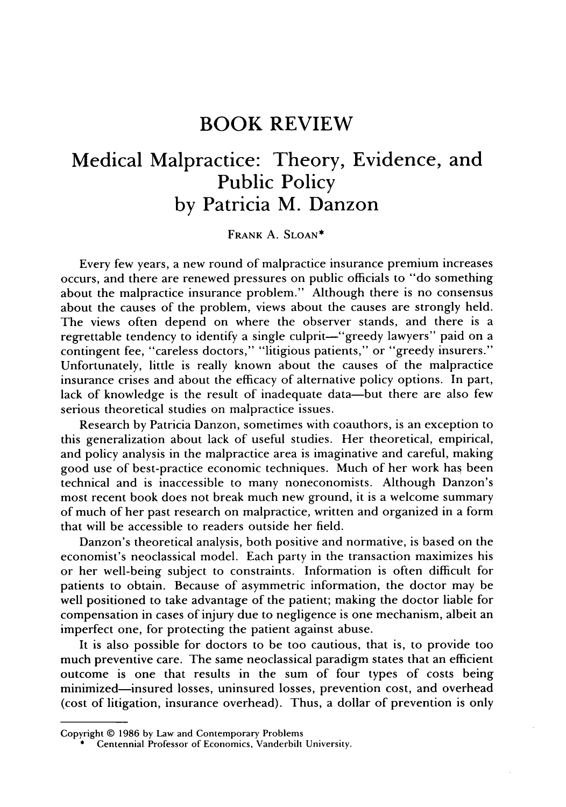## **BOOK REVIEW**

## **Medical Malpractice: Theory, Evidence, and Public Policy by Patricia M. Danzon**

FRANK A. SLOAN\*

Every few years, a new round of malpractice insurance premium increases occurs, and there are renewed pressures on public officials to "do something about the malpractice insurance problem." Although there is no consensus about the causes of the problem, views about the causes are strongly held. The views often depend on where the observer stands, and there is a regrettable tendency to identify a single culprit—"greedy lawyers" paid on a contingent fee, "careless doctors," "litigious patients," or "greedy insurers." Unfortunately, little is really known about the causes of the malpractice insurance crises and about the efficacy of alternative policy options. In part, lack of knowledge is the result of inadequate data—but there are also few serious theoretical studies on malpractice issues.

Research by Patricia Danzon, sometimes with coauthors, is an exception to this generalization about lack of useful studies. Her theoretical, empirical, and policy analysis in the malpractice area is imaginative and careful, making good use of best-practice economic techniques. Much of her work has been technical and is inaccessible to many noneconomists. Although Danzon's most recent book does not break much new ground, it is a welcome summary of much of her past research on malpractice, written and organized in a form that will be accessible to readers outside her field.

Danzon's theoretical analysis, both positive and normative, is based on the economist's neoclassical model. Each party in the transaction maximizes his or her well-being subject to constraints. Information is often difficult for patients to obtain. Because of asymmetric information, the doctor may be well positioned to take advantage of the patient; making the doctor liable for compensation in cases of injury due to negligence is one mechanism, albeit an imperfect one, for protecting the patient against abuse.

It is also possible for doctors to be too cautious, that is, to provide too much preventive care. The same neoclassical paradigm states that an efficient outcome is one that results in the sum of four types of costs being minimized-insured losses, uninsured losses, prevention cost, and overhead (cost of litigation, insurance overhead). Thus, a dollar of prevention is only

Copyright © 1986 by Law and Contemporary Problems

**Centennial Professor of Economics, Vanderbilt University.**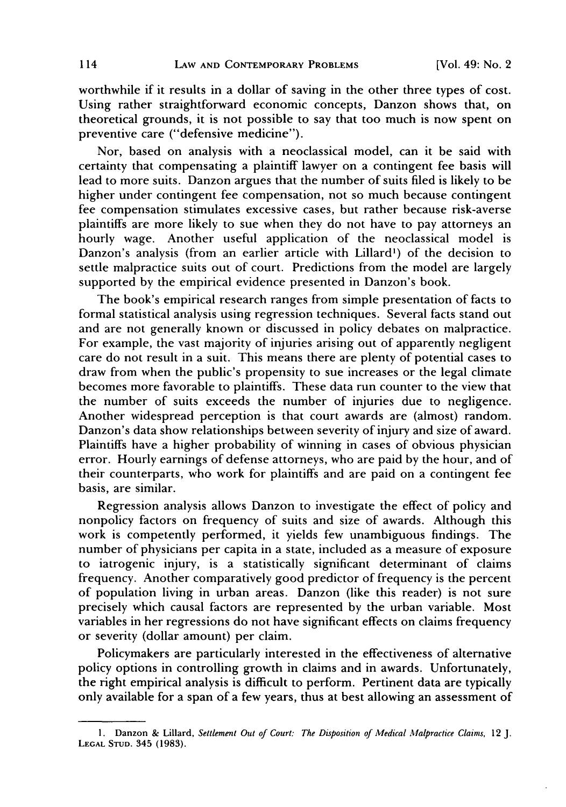worthwhile if it results in a dollar of saving in the other three types of cost. Using rather straightforward economic concepts, Danzon shows that, on theoretical grounds, it is not possible to say that too much is now spent on preventive care ("defensive medicine").

Nor, based on analysis with a neoclassical model, can it be said with certainty that compensating a plaintiff lawyer on a contingent fee basis will lead to more suits. Danzon argues that the number of suits filed is likely to be higher under contingent fee compensation, not so much because contingent fee compensation stimulates excessive cases, but rather because risk-averse plaintiffs are more likely to sue when they do not have to pay attorneys an hourly wage. Another useful application of the neoclassical model is Danzon's analysis (from an earlier article with Lillard') of the decision to settle malpractice suits out of court. Predictions from the model are largely supported by the empirical evidence presented in Danzon's book.

The book's empirical research ranges from simple presentation of facts to formal statistical analysis using regression techniques. Several facts stand out and are not generally known or discussed in policy debates on malpractice. For example, the vast majority of injuries arising out of apparently negligent care do not result in a suit. This means there are plenty of potential cases to draw from when the public's propensity to sue increases or the legal climate becomes more favorable to plaintiffs. These data run counter to the view that the number of suits exceeds the number of injuries due to negligence. Another widespread perception is that court awards are (almost) random. Danzon's data show relationships between severity of injury and size of award. Plaintiffs have a higher probability of winning in cases of obvious physician error. Hourly earnings of defense attorneys, who are paid by the hour, and of their counterparts, who work for plaintiffs and are paid on a contingent fee basis, are similar.

Regression analysis allows Danzon to investigate the effect of policy and nonpolicy factors on frequency of suits and size of awards. Although this work is competently performed, it yields few unambiguous findings. The number of physicians per capita in a state, included as a measure of exposure to iatrogenic injury, is a statistically significant determinant of claims frequency. Another comparatively good predictor of frequency is the percent of population living in urban areas. Danzon (like this reader) is not sure precisely which causal factors are represented by the urban variable. Most variables in her regressions do not have significant effects on claims frequency or severity (dollar amount) per claim.

Policymakers are particularly interested in the effectiveness of alternative policy options in controlling growth in claims and in awards. Unfortunately, the right empirical analysis is difficult to perform. Pertinent data are typically only available for a span of a few years, thus at best allowing an assessment of

<sup>1.</sup> Danzon & Lillard, *Settlement Out of Court: The Disposition of Medical Malpractice Claims,* 12 J. **LEGAL STUD. 345** (1983).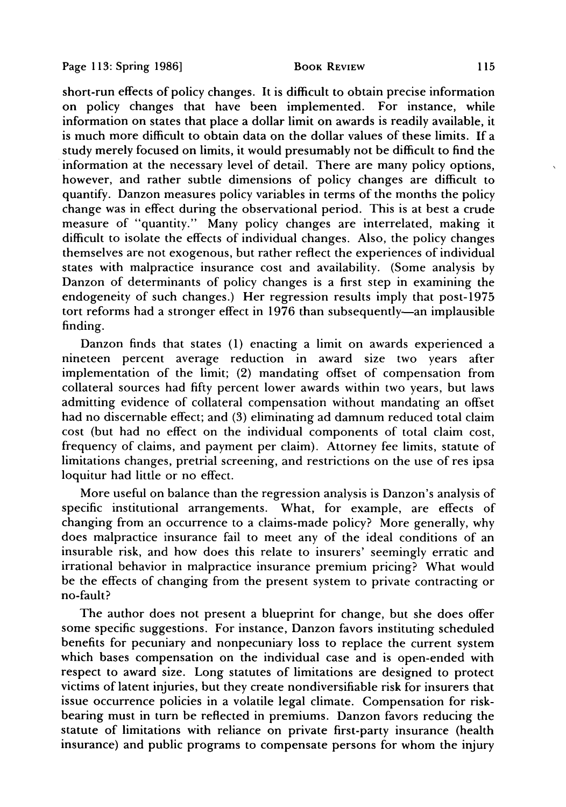## **BOOK REVIEW**

short-run effects of policy changes. It is difficult to obtain precise information on policy changes that have been implemented. For instance, while information on states that place a dollar limit on awards is readily available, it is much more difficult to obtain data on the dollar values of these limits. If a study merely focused on limits, it would presumably not be difficult to find the information at the necessary level of detail. There are many policy options, however, and rather subtle dimensions of policy changes are difficult to quantify. Danzon measures policy variables in terms of the months the policy change was in effect during the observational period. This is at best a crude measure of "quantity." Many policy changes are interrelated, making it difficult to isolate the effects of individual changes. Also, the policy changes themselves are not exogenous, but rather reflect the experiences of individual states with malpractice insurance cost and availability. (Some analysis by Danzon of determinants of policy changes is a first step in examining the endogeneity of such changes.) Her regression results imply that post-1975 tort reforms had a stronger effect in 1976 than subsequently-an implausible finding.

Danzon finds that states (1) enacting a limit on awards experienced a nineteen percent average reduction in award size two years after implementation of the limit; (2) mandating offset of compensation from collateral sources had fifty percent lower awards within two years, but laws admitting evidence of collateral compensation without mandating an offset had no discernable effect; and (3) eliminating ad damnum reduced total claim cost (but had no effect on the individual components of total claim cost, frequency of claims, and payment per claim). Attorney fee limits, statute of limitations changes, pretrial screening, and restrictions on the use of res ipsa loquitur had little or no effect.

More useful on balance than the regression analysis is Danzon's analysis of specific institutional arrangements. What, for example, are effects of changing from an occurrence to a claims-made policy? More generally, why does malpractice insurance fail to meet any of the ideal conditions of an insurable risk, and how does this relate to insurers' seemingly erratic and irrational behavior in malpractice insurance premium pricing? What would be the effects of changing from the present system to private contracting or no-fault?

The author does not present a blueprint for change, but she does offer some specific suggestions. For instance, Danzon favors instituting scheduled benefits for pecuniary and nonpecuniary loss to replace the current system which bases compensation on the individual case and is open-ended with respect to award size. Long statutes of limitations are designed to protect victims of latent injuries, but they create nondiversifiable risk for insurers that issue occurrence policies in a volatile legal climate. Compensation for riskbearing must in turn be reflected in premiums. Danzon favors reducing the statute of limitations with reliance on private first-party insurance (health insurance) and public programs to compensate persons for whom the injury